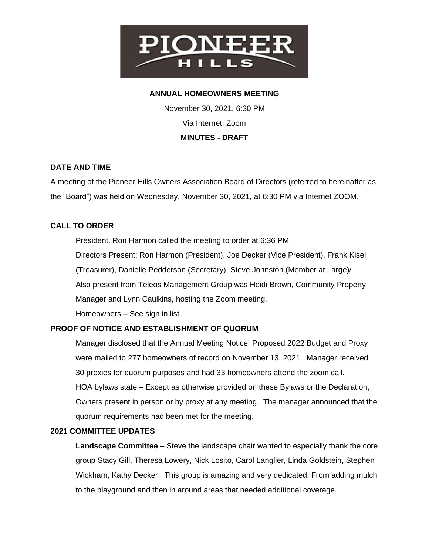

#### **ANNUAL HOMEOWNERS MEETING**

November 30, 2021, 6:30 PM Via Internet, Zoom **MINUTES - DRAFT**

#### **DATE AND TIME**

A meeting of the Pioneer Hills Owners Association Board of Directors (referred to hereinafter as the "Board") was held on Wednesday, November 30, 2021, at 6:30 PM via Internet ZOOM.

## **CALL TO ORDER**

President, Ron Harmon called the meeting to order at 6:36 PM.

Directors Present: Ron Harmon (President), Joe Decker (Vice President), Frank Kisel (Treasurer), Danielle Pedderson (Secretary), Steve Johnston (Member at Large)/ Also present from Teleos Management Group was Heidi Brown, Community Property Manager and Lynn Caulkins, hosting the Zoom meeting.

Homeowners – See sign in list

#### **PROOF OF NOTICE AND ESTABLISHMENT OF QUORUM**

quorum requirements had been met for the meeting.

Manager disclosed that the Annual Meeting Notice, Proposed 2022 Budget and Proxy were mailed to 277 homeowners of record on November 13, 2021. Manager received 30 proxies for quorum purposes and had 33 homeowners attend the zoom call. HOA bylaws state – Except as otherwise provided on these Bylaws or the Declaration, Owners present in person or by proxy at any meeting. The manager announced that the

# **2021 COMMITTEE UPDATES**

**Landscape Committee –** Steve the landscape chair wanted to especially thank the core group Stacy Gill, Theresa Lowery, Nick Losito, Carol Langlier, Linda Goldstein, Stephen Wickham, Kathy Decker. This group is amazing and very dedicated. From adding mulch to the playground and then in around areas that needed additional coverage.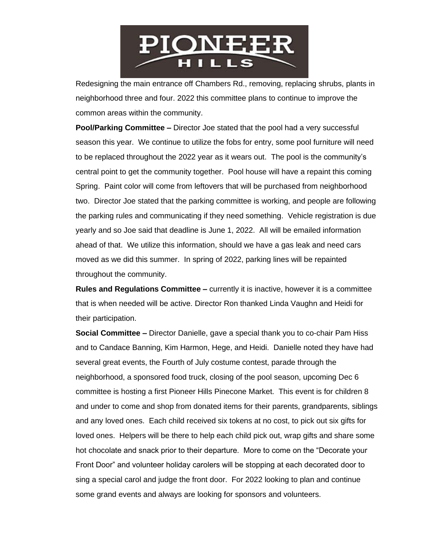

Redesigning the main entrance off Chambers Rd., removing, replacing shrubs, plants in neighborhood three and four. 2022 this committee plans to continue to improve the common areas within the community.

**Pool/Parking Committee –** Director Joe stated that the pool had a very successful season this year. We continue to utilize the fobs for entry, some pool furniture will need to be replaced throughout the 2022 year as it wears out. The pool is the community's central point to get the community together. Pool house will have a repaint this coming Spring. Paint color will come from leftovers that will be purchased from neighborhood two. Director Joe stated that the parking committee is working, and people are following the parking rules and communicating if they need something. Vehicle registration is due yearly and so Joe said that deadline is June 1, 2022. All will be emailed information ahead of that. We utilize this information, should we have a gas leak and need cars moved as we did this summer. In spring of 2022, parking lines will be repainted throughout the community.

**Rules and Regulations Committee –** currently it is inactive, however it is a committee that is when needed will be active. Director Ron thanked Linda Vaughn and Heidi for their participation.

**Social Committee –** Director Danielle, gave a special thank you to co-chair Pam Hiss and to Candace Banning, Kim Harmon, Hege, and Heidi. Danielle noted they have had several great events, the Fourth of July costume contest, parade through the neighborhood, a sponsored food truck, closing of the pool season, upcoming Dec 6 committee is hosting a first Pioneer Hills Pinecone Market. This event is for children 8 and under to come and shop from donated items for their parents, grandparents, siblings and any loved ones. Each child received six tokens at no cost, to pick out six gifts for loved ones. Helpers will be there to help each child pick out, wrap gifts and share some hot chocolate and snack prior to their departure. More to come on the "Decorate your Front Door" and volunteer holiday carolers will be stopping at each decorated door to sing a special carol and judge the front door. For 2022 looking to plan and continue some grand events and always are looking for sponsors and volunteers.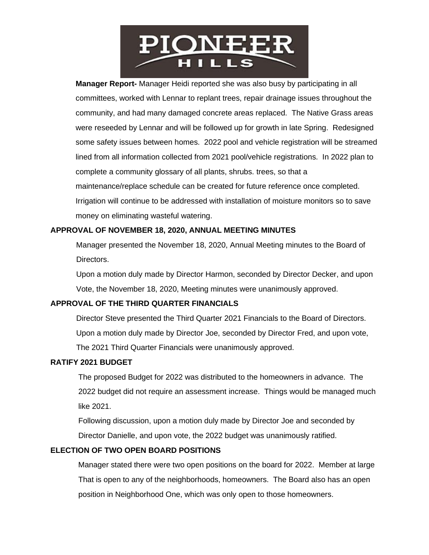

**Manager Report-** Manager Heidi reported she was also busy by participating in all committees, worked with Lennar to replant trees, repair drainage issues throughout the community, and had many damaged concrete areas replaced. The Native Grass areas were reseeded by Lennar and will be followed up for growth in late Spring. Redesigned some safety issues between homes. 2022 pool and vehicle registration will be streamed lined from all information collected from 2021 pool/vehicle registrations. In 2022 plan to complete a community glossary of all plants, shrubs. trees, so that a maintenance/replace schedule can be created for future reference once completed. Irrigation will continue to be addressed with installation of moisture monitors so to save money on eliminating wasteful watering.

## **APPROVAL OF NOVEMBER 18, 2020, ANNUAL MEETING MINUTES**

 Manager presented the November 18, 2020, Annual Meeting minutes to the Board of Directors.

 Upon a motion duly made by Director Harmon, seconded by Director Decker, and upon Vote, the November 18, 2020, Meeting minutes were unanimously approved.

# **APPROVAL OF THE THIRD QUARTER FINANCIALS**

 Director Steve presented the Third Quarter 2021 Financials to the Board of Directors. Upon a motion duly made by Director Joe, seconded by Director Fred, and upon vote, The 2021 Third Quarter Financials were unanimously approved.

#### **RATIFY 2021 BUDGET**

The proposed Budget for 2022 was distributed to the homeowners in advance. The 2022 budget did not require an assessment increase. Things would be managed much like 2021.

 Following discussion, upon a motion duly made by Director Joe and seconded by Director Danielle, and upon vote, the 2022 budget was unanimously ratified.

#### **ELECTION OF TWO OPEN BOARD POSITIONS**

 Manager stated there were two open positions on the board for 2022. Member at large That is open to any of the neighborhoods, homeowners. The Board also has an open position in Neighborhood One, which was only open to those homeowners.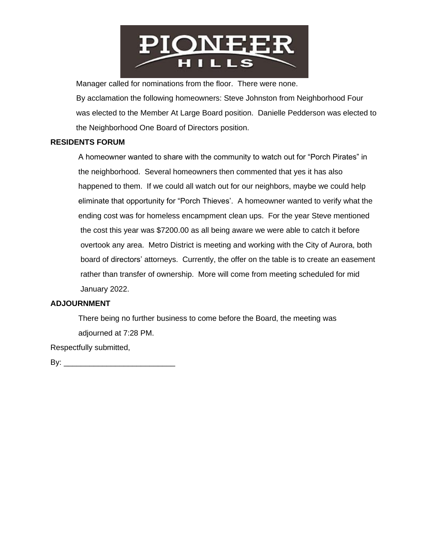

Manager called for nominations from the floor. There were none.

 By acclamation the following homeowners: Steve Johnston from Neighborhood Four was elected to the Member At Large Board position. Danielle Pedderson was elected to the Neighborhood One Board of Directors position.

#### **RESIDENTS FORUM**

A homeowner wanted to share with the community to watch out for "Porch Pirates" in the neighborhood. Several homeowners then commented that yes it has also happened to them. If we could all watch out for our neighbors, maybe we could help eliminate that opportunity for "Porch Thieves'. A homeowner wanted to verify what the ending cost was for homeless encampment clean ups. For the year Steve mentioned the cost this year was \$7200.00 as all being aware we were able to catch it before overtook any area. Metro District is meeting and working with the City of Aurora, both board of directors' attorneys. Currently, the offer on the table is to create an easement rather than transfer of ownership. More will come from meeting scheduled for mid January 2022.

#### **ADJOURNMENT**

There being no further business to come before the Board, the meeting was adjourned at 7:28 PM.

Respectfully submitted,

By: \_\_\_\_\_\_\_\_\_\_\_\_\_\_\_\_\_\_\_\_\_\_\_\_\_\_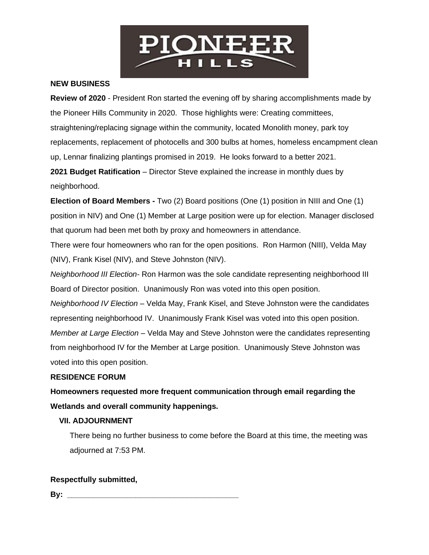

## **NEW BUSINESS**

**Review of 2020** - President Ron started the evening off by sharing accomplishments made by the Pioneer Hills Community in 2020. Those highlights were: Creating committees, straightening/replacing signage within the community, located Monolith money, park toy replacements, replacement of photocells and 300 bulbs at homes, homeless encampment clean up, Lennar finalizing plantings promised in 2019. He looks forward to a better 2021. **2021 Budget Ratification** – Director Steve explained the increase in monthly dues by neighborhood.

**Election of Board Members -** Two (2) Board positions (One (1) position in NIII and One (1) position in NIV) and One (1) Member at Large position were up for election. Manager disclosed that quorum had been met both by proxy and homeowners in attendance.

There were four homeowners who ran for the open positions. Ron Harmon (NIII), Velda May (NIV), Frank Kisel (NIV), and Steve Johnston (NIV).

*Neighborhood III Election-* Ron Harmon was the sole candidate representing neighborhood III Board of Director position. Unanimously Ron was voted into this open position.

*Neighborhood IV Election –* Velda May, Frank Kisel, and Steve Johnston were the candidates representing neighborhood IV. Unanimously Frank Kisel was voted into this open position. *Member at Large Election –* Velda May and Steve Johnston were the candidates representing from neighborhood IV for the Member at Large position. Unanimously Steve Johnston was voted into this open position.

#### **RESIDENCE FORUM**

**Homeowners requested more frequent communication through email regarding the Wetlands and overall community happenings.**

#### **VII. ADJOURNMENT**

 There being no further business to come before the Board at this time, the meeting was adjourned at 7:53 PM.

#### **Respectfully submitted,**

**By: \_\_\_\_\_\_\_\_\_\_\_\_\_\_\_\_\_\_\_\_\_\_\_\_\_\_\_\_\_\_\_\_\_\_\_\_\_\_\_\_**